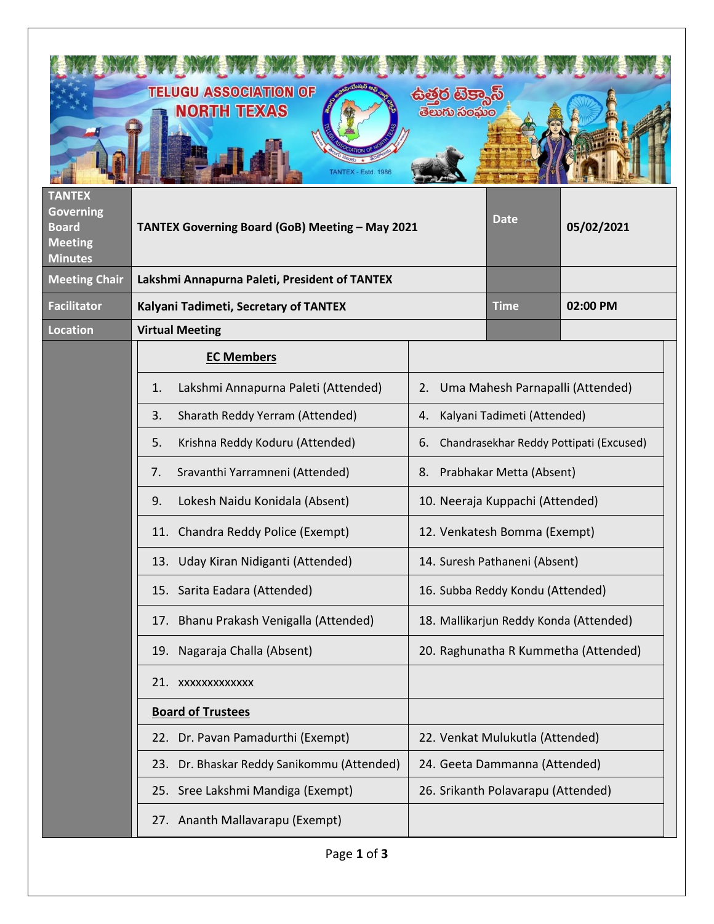|                                                                                       | <b>TELUGU ASSOCIATION OF</b><br><b>NORTH TEXAS</b><br>ANTEX - Estd. 1986 | <mark>ఉత్తర టెక్</mark> కాస్<br>_ తెలుగు సంఘం |                                  |            |  |
|---------------------------------------------------------------------------------------|--------------------------------------------------------------------------|-----------------------------------------------|----------------------------------|------------|--|
| <b>TANTEX</b><br><b>Governing</b><br><b>Board</b><br><b>Meeting</b><br><b>Minutes</b> | TANTEX Governing Board (GoB) Meeting - May 2021                          |                                               | <b>Date</b>                      | 05/02/2021 |  |
| <b>Meeting Chair</b>                                                                  | Lakshmi Annapurna Paleti, President of TANTEX                            |                                               |                                  |            |  |
| <b>Facilitator</b>                                                                    | Kalyani Tadimeti, Secretary of TANTEX                                    |                                               | <b>Time</b>                      | 02:00 PM   |  |
| Location                                                                              | <b>Virtual Meeting</b>                                                   |                                               |                                  |            |  |
|                                                                                       | <b>EC Members</b>                                                        |                                               |                                  |            |  |
|                                                                                       | Lakshmi Annapurna Paleti (Attended)<br>1.                                | 2.                                            | Uma Mahesh Parnapalli (Attended) |            |  |
|                                                                                       | 3.<br>Sharath Reddy Yerram (Attended)                                    | Kalyani Tadimeti (Attended)<br>4.             |                                  |            |  |
|                                                                                       | 5.<br>Krishna Reddy Koduru (Attended)                                    | Chandrasekhar Reddy Pottipati (Excused)<br>6. |                                  |            |  |
|                                                                                       | Sravanthi Yarramneni (Attended)<br>7.                                    | Prabhakar Metta (Absent)<br>8.                |                                  |            |  |
|                                                                                       | Lokesh Naidu Konidala (Absent)<br>9.                                     | 10. Neeraja Kuppachi (Attended)               |                                  |            |  |
|                                                                                       | 11. Chandra Reddy Police (Exempt)                                        | 12. Venkatesh Bomma (Exempt)                  |                                  |            |  |
|                                                                                       | 13. Uday Kiran Nidiganti (Attended)                                      | 14. Suresh Pathaneni (Absent)                 |                                  |            |  |
|                                                                                       | 15. Sarita Eadara (Attended)                                             | 16. Subba Reddy Kondu (Attended)              |                                  |            |  |
|                                                                                       | 17. Bhanu Prakash Venigalla (Attended)                                   | 18. Mallikarjun Reddy Konda (Attended)        |                                  |            |  |
|                                                                                       | 19. Nagaraja Challa (Absent)                                             | 20. Raghunatha R Kummetha (Attended)          |                                  |            |  |
|                                                                                       | 21. XXXXXXXXXXXX                                                         |                                               |                                  |            |  |
|                                                                                       | <b>Board of Trustees</b>                                                 |                                               |                                  |            |  |
|                                                                                       | 22. Dr. Pavan Pamadurthi (Exempt)                                        |                                               | 22. Venkat Mulukutla (Attended)  |            |  |
|                                                                                       | 23. Dr. Bhaskar Reddy Sanikommu (Attended)                               | 24. Geeta Dammanna (Attended)                 |                                  |            |  |
|                                                                                       | 25. Sree Lakshmi Mandiga (Exempt)                                        | 26. Srikanth Polavarapu (Attended)            |                                  |            |  |
|                                                                                       | 27. Ananth Mallavarapu (Exempt)                                          |                                               |                                  |            |  |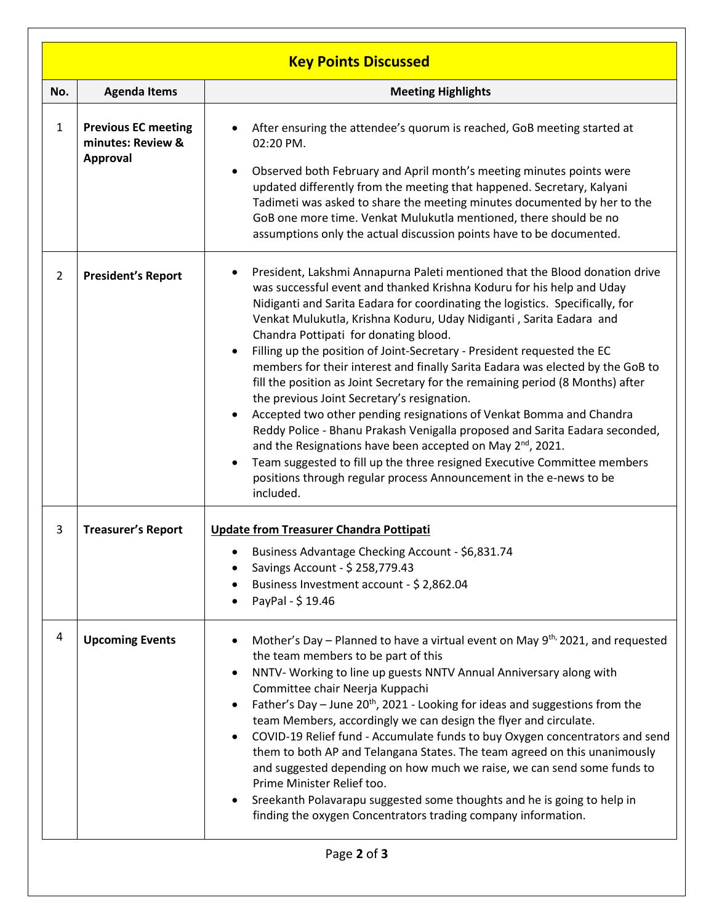| <b>Key Points Discussed</b> |                                                                    |                                                                                                                                                                                                                                                                                                                                                                                                                                                                                                                                                                                                                                                                                                                                                                                                                                                                                                                                                                                                                                                                                         |  |  |  |  |  |  |
|-----------------------------|--------------------------------------------------------------------|-----------------------------------------------------------------------------------------------------------------------------------------------------------------------------------------------------------------------------------------------------------------------------------------------------------------------------------------------------------------------------------------------------------------------------------------------------------------------------------------------------------------------------------------------------------------------------------------------------------------------------------------------------------------------------------------------------------------------------------------------------------------------------------------------------------------------------------------------------------------------------------------------------------------------------------------------------------------------------------------------------------------------------------------------------------------------------------------|--|--|--|--|--|--|
| No.                         | <b>Agenda Items</b>                                                | <b>Meeting Highlights</b>                                                                                                                                                                                                                                                                                                                                                                                                                                                                                                                                                                                                                                                                                                                                                                                                                                                                                                                                                                                                                                                               |  |  |  |  |  |  |
| $\mathbf{1}$                | <b>Previous EC meeting</b><br>minutes: Review &<br><b>Approval</b> | After ensuring the attendee's quorum is reached, GoB meeting started at<br>02:20 PM.<br>Observed both February and April month's meeting minutes points were<br>$\bullet$<br>updated differently from the meeting that happened. Secretary, Kalyani<br>Tadimeti was asked to share the meeting minutes documented by her to the<br>GoB one more time. Venkat Mulukutla mentioned, there should be no<br>assumptions only the actual discussion points have to be documented.                                                                                                                                                                                                                                                                                                                                                                                                                                                                                                                                                                                                            |  |  |  |  |  |  |
| $\overline{2}$              | <b>President's Report</b>                                          | President, Lakshmi Annapurna Paleti mentioned that the Blood donation drive<br>٠<br>was successful event and thanked Krishna Koduru for his help and Uday<br>Nidiganti and Sarita Eadara for coordinating the logistics. Specifically, for<br>Venkat Mulukutla, Krishna Koduru, Uday Nidiganti, Sarita Eadara and<br>Chandra Pottipati for donating blood.<br>Filling up the position of Joint-Secretary - President requested the EC<br>$\bullet$<br>members for their interest and finally Sarita Eadara was elected by the GoB to<br>fill the position as Joint Secretary for the remaining period (8 Months) after<br>the previous Joint Secretary's resignation.<br>Accepted two other pending resignations of Venkat Bomma and Chandra<br>$\bullet$<br>Reddy Police - Bhanu Prakash Venigalla proposed and Sarita Eadara seconded,<br>and the Resignations have been accepted on May $2^{nd}$ , 2021.<br>Team suggested to fill up the three resigned Executive Committee members<br>$\bullet$<br>positions through regular process Announcement in the e-news to be<br>included. |  |  |  |  |  |  |
| 3                           | <b>Treasurer's Report</b>                                          | <b>Update from Treasurer Chandra Pottipati</b><br>Business Advantage Checking Account - \$6,831.74<br>Savings Account - \$ 258,779.43<br>Business Investment account - \$ 2,862.04<br>PayPal - \$19.46                                                                                                                                                                                                                                                                                                                                                                                                                                                                                                                                                                                                                                                                                                                                                                                                                                                                                  |  |  |  |  |  |  |
| 4                           | <b>Upcoming Events</b>                                             | Mother's Day – Planned to have a virtual event on May $9^{th}$ , 2021, and requested<br>the team members to be part of this<br>NNTV- Working to line up guests NNTV Annual Anniversary along with<br>Committee chair Neerja Kuppachi<br>Father's Day - June 20 <sup>th</sup> , 2021 - Looking for ideas and suggestions from the<br>team Members, accordingly we can design the flyer and circulate.<br>COVID-19 Relief fund - Accumulate funds to buy Oxygen concentrators and send<br>$\bullet$<br>them to both AP and Telangana States. The team agreed on this unanimously<br>and suggested depending on how much we raise, we can send some funds to<br>Prime Minister Relief too.<br>Sreekanth Polavarapu suggested some thoughts and he is going to help in<br>$\bullet$<br>finding the oxygen Concentrators trading company information.                                                                                                                                                                                                                                        |  |  |  |  |  |  |
|                             | Page 2 of 3                                                        |                                                                                                                                                                                                                                                                                                                                                                                                                                                                                                                                                                                                                                                                                                                                                                                                                                                                                                                                                                                                                                                                                         |  |  |  |  |  |  |